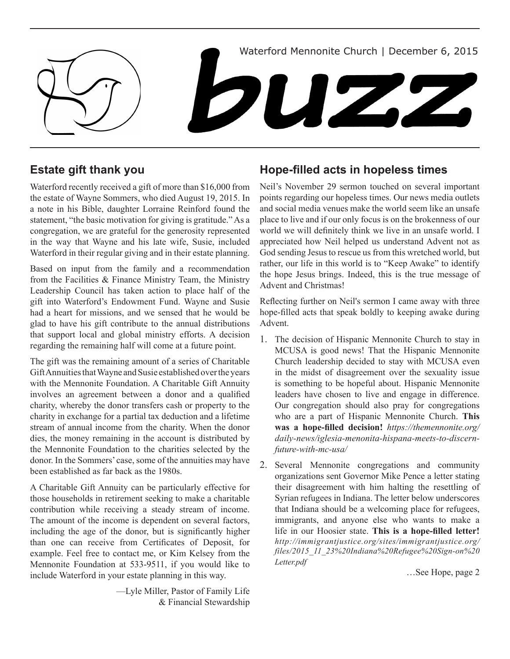

# **Estate gift thank you**

Waterford recently received a gift of more than \$16,000 from the estate of Wayne Sommers, who died August 19, 2015. In a note in his Bible, daughter Lorraine Reinford found the statement, "the basic motivation for giving is gratitude." As a congregation, we are grateful for the generosity represented in the way that Wayne and his late wife, Susie, included Waterford in their regular giving and in their estate planning.

Based on input from the family and a recommendation from the Facilities & Finance Ministry Team, the Ministry Leadership Council has taken action to place half of the gift into Waterford's Endowment Fund. Wayne and Susie had a heart for missions, and we sensed that he would be glad to have his gift contribute to the annual distributions that support local and global ministry efforts. A decision regarding the remaining half will come at a future point.

The gift was the remaining amount of a series of Charitable Gift Annuities that Wayne and Susie established over the years with the Mennonite Foundation. A Charitable Gift Annuity involves an agreement between a donor and a qualified charity, whereby the donor transfers cash or property to the charity in exchange for a partial tax deduction and a lifetime stream of annual income from the charity. When the donor dies, the money remaining in the account is distributed by the Mennonite Foundation to the charities selected by the donor. In the Sommers' case, some of the annuities may have been established as far back as the 1980s.

A Charitable Gift Annuity can be particularly effective for those households in retirement seeking to make a charitable contribution while receiving a steady stream of income. The amount of the income is dependent on several factors, including the age of the donor, but is significantly higher than one can receive from Certificates of Deposit, for example. Feel free to contact me, or Kim Kelsey from the Mennonite Foundation at 533-9511, if you would like to include Waterford in your estate planning in this way.

> —Lyle Miller, Pastor of Family Life & Financial Stewardship

# **Hope-filled acts in hopeless times**

Neil's November 29 sermon touched on several important points regarding our hopeless times. Our news media outlets and social media venues make the world seem like an unsafe place to live and if our only focus is on the brokenness of our world we will definitely think we live in an unsafe world. I appreciated how Neil helped us understand Advent not as God sending Jesus to rescue us from this wretched world, but rather, our life in this world is to "Keep Awake" to identify the hope Jesus brings. Indeed, this is the true message of Advent and Christmas!

Reflecting further on Neil's sermon I came away with three hope-filled acts that speak boldly to keeping awake during Advent.

- 1. The decision of Hispanic Mennonite Church to stay in MCUSA is good news! That the Hispanic Mennonite Church leadership decided to stay with MCUSA even in the midst of disagreement over the sexuality issue is something to be hopeful about. Hispanic Mennonite leaders have chosen to live and engage in difference. Our congregation should also pray for congregations who are a part of Hispanic Mennonite Church. **This was a hope-filled decision!** *https://themennonite.org/ daily-news/iglesia-menonita-hispana-meets-to-discernfuture-with-mc-usa/*
- 2. Several Mennonite congregations and community organizations sent Governor Mike Pence a letter stating their disagreement with him halting the resettling of Syrian refugees in Indiana. The letter below underscores that Indiana should be a welcoming place for refugees, immigrants, and anyone else who wants to make a life in our Hoosier state. **This is a hope-filled letter!**  *http://immigrantjustice.org/sites/immigrantjustice.org/ files/2015\_11\_23%20Indiana%20Refugee%20Sign-on%20 Letter.pdf*

…See Hope, page 2